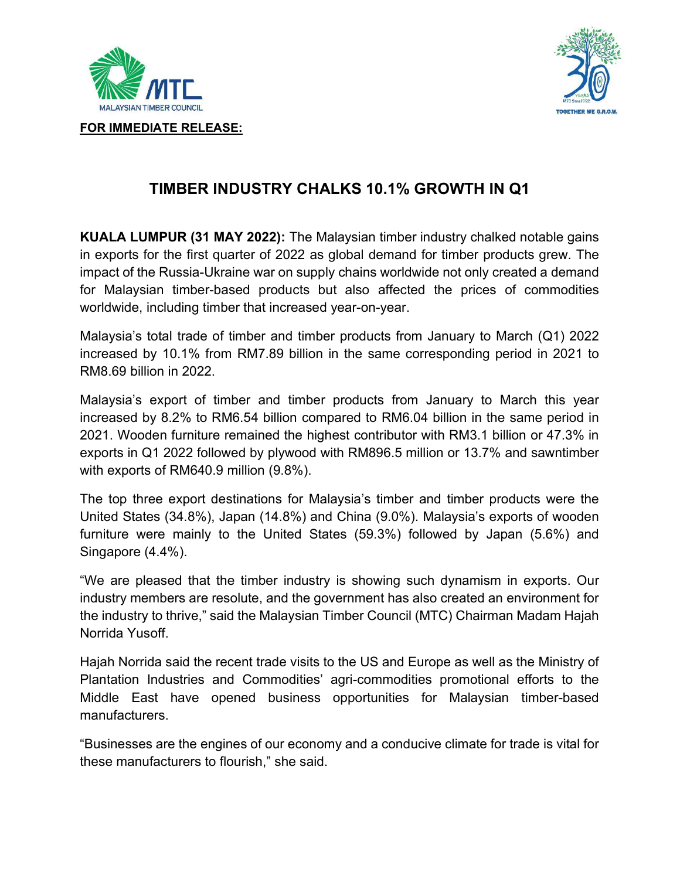



FOR IMMEDIATE RELEASE:

## TIMBER INDUSTRY CHALKS 10.1% GROWTH IN Q1

KUALA LUMPUR (31 MAY 2022): The Malaysian timber industry chalked notable gains in exports for the first quarter of 2022 as global demand for timber products grew. The impact of the Russia-Ukraine war on supply chains worldwide not only created a demand for Malaysian timber-based products but also affected the prices of commodities worldwide, including timber that increased year-on-year.

Malaysia's total trade of timber and timber products from January to March (Q1) 2022 increased by 10.1% from RM7.89 billion in the same corresponding period in 2021 to RM8.69 billion in 2022.

Malaysia's export of timber and timber products from January to March this year increased by 8.2% to RM6.54 billion compared to RM6.04 billion in the same period in 2021. Wooden furniture remained the highest contributor with RM3.1 billion or 47.3% in exports in Q1 2022 followed by plywood with RM896.5 million or 13.7% and sawntimber with exports of RM640.9 million (9.8%).

The top three export destinations for Malaysia's timber and timber products were the United States (34.8%), Japan (14.8%) and China (9.0%). Malaysia's exports of wooden furniture were mainly to the United States (59.3%) followed by Japan (5.6%) and Singapore (4.4%).

"We are pleased that the timber industry is showing such dynamism in exports. Our industry members are resolute, and the government has also created an environment for the industry to thrive," said the Malaysian Timber Council (MTC) Chairman Madam Hajah Norrida Yusoff.

Hajah Norrida said the recent trade visits to the US and Europe as well as the Ministry of Plantation Industries and Commodities' agri-commodities promotional efforts to the Middle East have opened business opportunities for Malaysian timber-based manufacturers.

"Businesses are the engines of our economy and a conducive climate for trade is vital for these manufacturers to flourish," she said.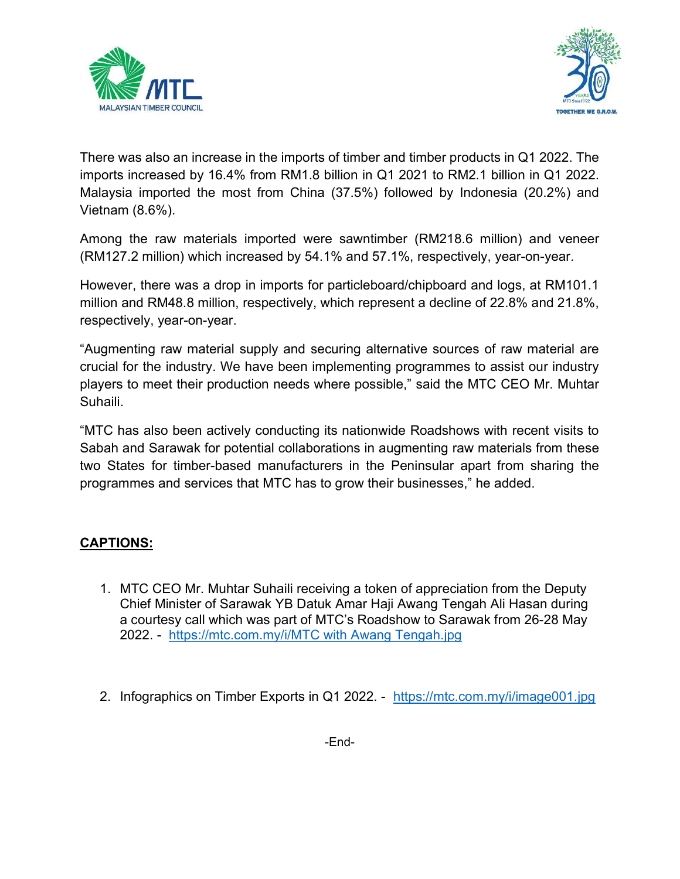



There was also an increase in the imports of timber and timber products in Q1 2022. The imports increased by 16.4% from RM1.8 billion in Q1 2021 to RM2.1 billion in Q1 2022. Malaysia imported the most from China (37.5%) followed by Indonesia (20.2%) and Vietnam (8.6%).

Among the raw materials imported were sawntimber (RM218.6 million) and veneer (RM127.2 million) which increased by 54.1% and 57.1%, respectively, year-on-year.

However, there was a drop in imports for particleboard/chipboard and logs, at RM101.1 million and RM48.8 million, respectively, which represent a decline of 22.8% and 21.8%, respectively, year-on-year.

"Augmenting raw material supply and securing alternative sources of raw material are crucial for the industry. We have been implementing programmes to assist our industry players to meet their production needs where possible," said the MTC CEO Mr. Muhtar Suhaili.

"MTC has also been actively conducting its nationwide Roadshows with recent visits to Sabah and Sarawak for potential collaborations in augmenting raw materials from these two States for timber-based manufacturers in the Peninsular apart from sharing the programmes and services that MTC has to grow their businesses," he added.

## CAPTIONS:

- 1. MTC CEO Mr. Muhtar Suhaili receiving a token of appreciation from the Deputy Chief Minister of Sarawak YB Datuk Amar Haji Awang Tengah Ali Hasan during a courtesy call which was part of MTC's Roadshow to Sarawak from 26-28 May 2022. - https://mtc.com.my/i/MTC with Awang Tengah.jpg
- 2. Infographics on Timber Exports in Q1 2022. https://mtc.com.my/i/image001.jpg